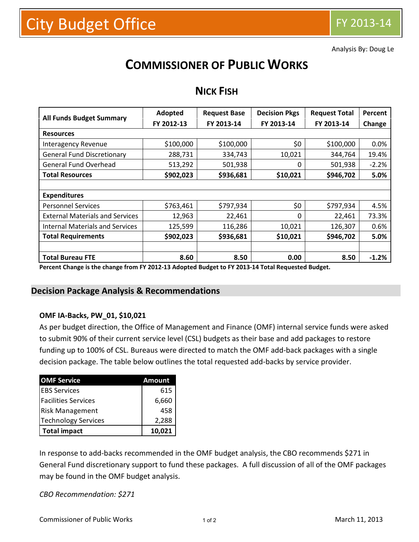Analysis By: Doug Le

# **COMMISSIONER OF PUBLIC WORKS**

| <b>All Funds Budget Summary</b>        | Adopted    | <b>Request Base</b> | <b>Decision Pkgs</b> | <b>Request Total</b> | Percent |  |  |  |  |
|----------------------------------------|------------|---------------------|----------------------|----------------------|---------|--|--|--|--|
|                                        | FY 2012-13 | FY 2013-14          | FY 2013-14           | FY 2013-14           | Change  |  |  |  |  |
| <b>Resources</b>                       |            |                     |                      |                      |         |  |  |  |  |
| Interagency Revenue                    | \$100,000  | \$100,000           | \$0                  | \$100,000            | 0.0%    |  |  |  |  |
| <b>General Fund Discretionary</b>      | 288,731    | 334,743             | 10,021               | 344,764              | 19.4%   |  |  |  |  |
| <b>General Fund Overhead</b>           | 513,292    | 501,938             | 0                    | 501,938              | $-2.2%$ |  |  |  |  |
| <b>Total Resources</b>                 | \$902,023  | \$936,681           | \$10,021             | \$946,702            | 5.0%    |  |  |  |  |
|                                        |            |                     |                      |                      |         |  |  |  |  |
| <b>Expenditures</b>                    |            |                     |                      |                      |         |  |  |  |  |
| <b>Personnel Services</b>              | \$763,461  | \$797,934           | \$0                  | \$797,934            | 4.5%    |  |  |  |  |
| <b>External Materials and Services</b> | 12,963     | 22,461              | 0                    | 22,461               | 73.3%   |  |  |  |  |
| <b>Internal Materials and Services</b> | 125,599    | 116,286             | 10,021               | 126,307              | 0.6%    |  |  |  |  |
| <b>Total Requirements</b>              | \$902,023  | \$936,681           | \$10,021             | \$946,702            | 5.0%    |  |  |  |  |
|                                        |            |                     |                      |                      |         |  |  |  |  |
| <b>Total Bureau FTE</b>                | 8.60       | 8.50                | 0.00                 | 8.50                 | $-1.2%$ |  |  |  |  |

## **NICK FISH**

**Percent Change is the change from FY 2012-13 Adopted Budget to FY 2013-14 Total Requested Budget.**

#### **Decision Package Analysis & Recommendations**

#### **OMF IA-Backs, PW\_01, \$10,021**

As per budget direction, the Office of Management and Finance (OMF) internal service funds were asked to submit 90% of their current service level (CSL) budgets as their base and add packages to restore funding up to 100% of CSL. Bureaus were directed to match the OMF add-back packages with a single decision package. The table below outlines the total requested add-backs by service provider.

| <b>OMF Service</b>         | <b>Amount</b> |
|----------------------------|---------------|
| <b>IEBS Services</b>       | 615           |
| <b>Facilities Services</b> | 6,660         |
| <b>Risk Management</b>     | 458           |
| <b>Technology Services</b> | 2,288         |
| <b>Total impact</b>        | 10,021        |

In response to add-backs recommended in the OMF budget analysis, the CBO recommends \$271 in General Fund discretionary support to fund these packages. A full discussion of all of the OMF packages may be found in the OMF budget analysis.

*CBO Recommendation: \$271*